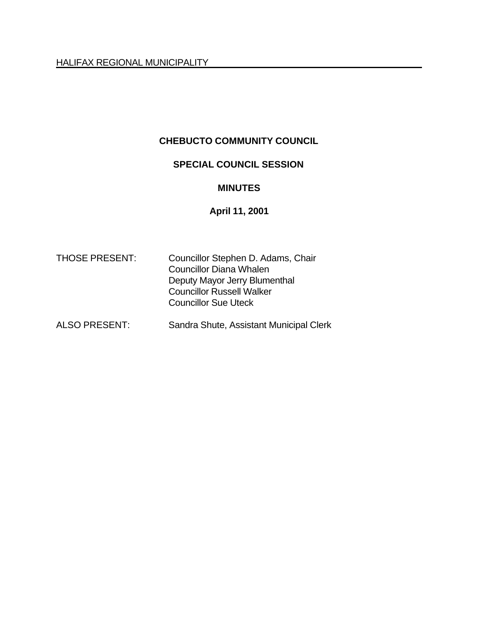## **CHEBUCTO COMMUNITY COUNCIL**

## **SPECIAL COUNCIL SESSION**

#### **MINUTES**

## **April 11, 2001**

| <b>THOSE PRESENT:</b> | Councillor Stephen D. Adams, Chair |
|-----------------------|------------------------------------|
|                       | <b>Councillor Diana Whalen</b>     |
|                       | Deputy Mayor Jerry Blumenthal      |
|                       | <b>Councillor Russell Walker</b>   |
|                       | <b>Councillor Sue Uteck</b>        |
|                       |                                    |

# ALSO PRESENT: Sandra Shute, Assistant Municipal Clerk